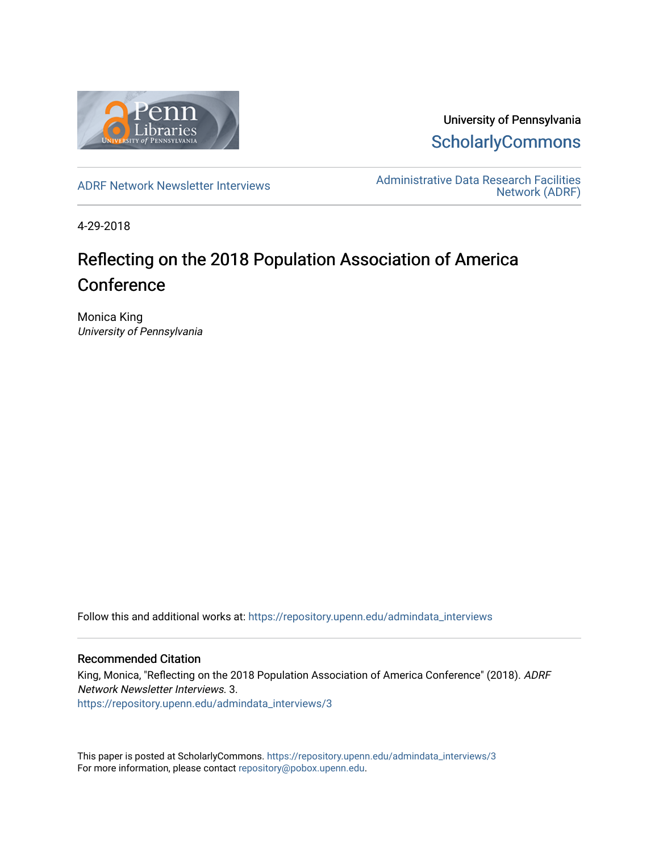

University of Pennsylvania **ScholarlyCommons** 

[ADRF Network Newsletter Interviews](https://repository.upenn.edu/admindata_interviews) [Administrative Data Research Facilities](https://repository.upenn.edu/admindata)  [Network \(ADRF\)](https://repository.upenn.edu/admindata) 

4-29-2018

# Reflecting on the 2018 Population Association of America **Conference**

Monica King University of Pennsylvania

Follow this and additional works at: [https://repository.upenn.edu/admindata\\_interviews](https://repository.upenn.edu/admindata_interviews?utm_source=repository.upenn.edu%2Fadmindata_interviews%2F3&utm_medium=PDF&utm_campaign=PDFCoverPages) 

#### Recommended Citation

King, Monica, "Reflecting on the 2018 Population Association of America Conference" (2018). ADRF Network Newsletter Interviews. 3. [https://repository.upenn.edu/admindata\\_interviews/3](https://repository.upenn.edu/admindata_interviews/3?utm_source=repository.upenn.edu%2Fadmindata_interviews%2F3&utm_medium=PDF&utm_campaign=PDFCoverPages) 

This paper is posted at ScholarlyCommons. [https://repository.upenn.edu/admindata\\_interviews/3](https://repository.upenn.edu/admindata_interviews/3) For more information, please contact [repository@pobox.upenn.edu.](mailto:repository@pobox.upenn.edu)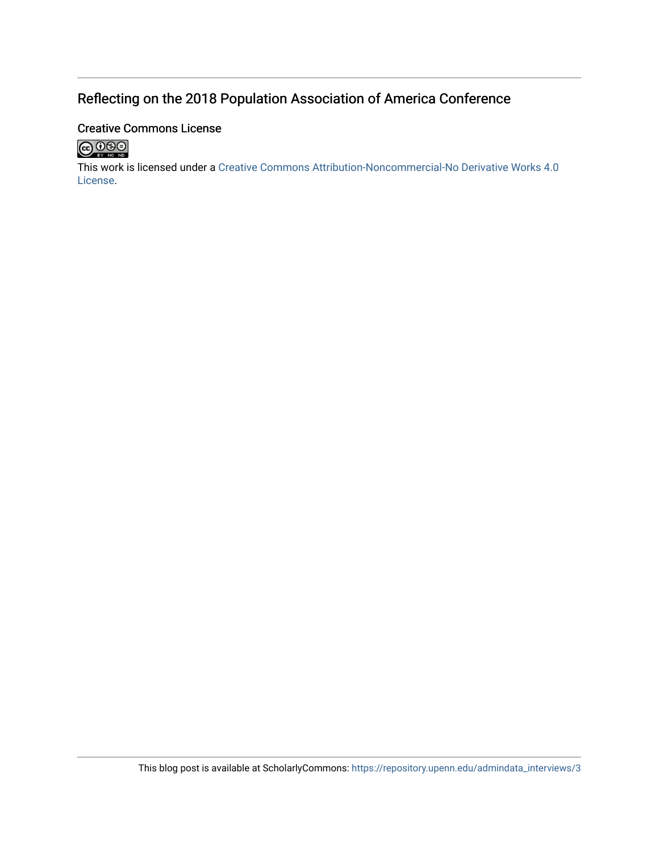## Reflecting on the 2018 Population Association of America Conference

### Creative Commons License



This work is licensed under a [Creative Commons Attribution-Noncommercial-No Derivative Works 4.0](http://creativecommons.org/licenses/by-nc-nd/4.0/) [License](http://creativecommons.org/licenses/by-nc-nd/4.0/).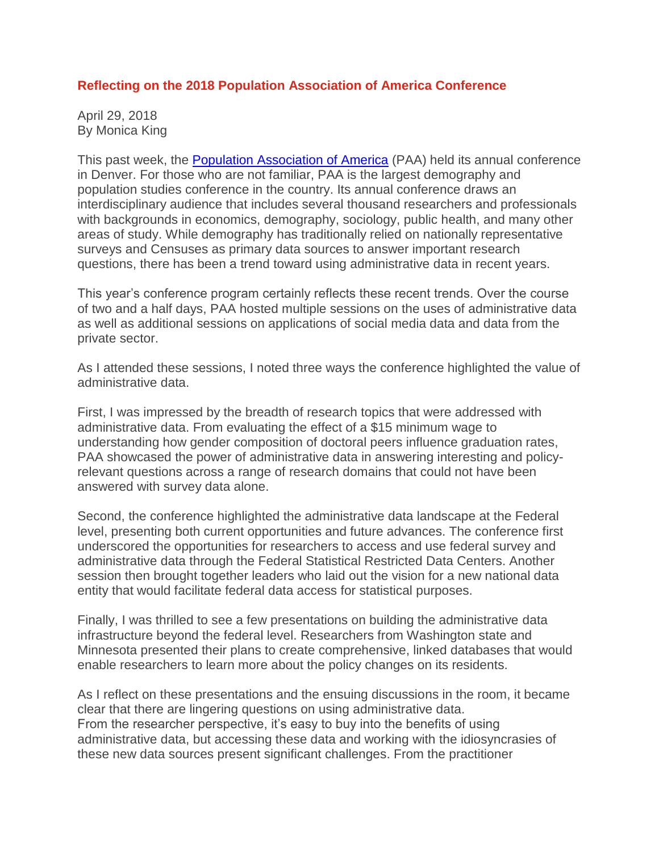### **Reflecting on the 2018 Population Association of America Conference**

April 29, 2018 By Monica King

This past week, the Population [Association](http://www.populationassociation.org/) of America (PAA) held its annual conference in Denver. For those who are not familiar, PAA is the largest demography and population studies conference in the country. Its annual conference draws an interdisciplinary audience that includes several thousand researchers and professionals with backgrounds in economics, demography, sociology, public health, and many other areas of study. While demography has traditionally relied on nationally representative surveys and Censuses as primary data sources to answer important research questions, there has been a trend toward using administrative data in recent years.

This year's conference program certainly reflects these recent trends. Over the course of two and a half days, PAA hosted multiple sessions on the uses of administrative data as well as additional sessions on applications of social media data and data from the private sector.

As I attended these sessions, I noted three ways the conference highlighted the value of administrative data.

First, I was impressed by the breadth of research topics that were addressed with administrative data. From evaluating the effect of a \$15 minimum wage to understanding how gender composition of doctoral peers influence graduation rates, PAA showcased the power of administrative data in answering interesting and policyrelevant questions across a range of research domains that could not have been answered with survey data alone.

Second, the conference highlighted the administrative data landscape at the Federal level, presenting both current opportunities and future advances. The conference first underscored the opportunities for researchers to access and use federal survey and administrative data through the Federal Statistical Restricted Data Centers. Another session then brought together leaders who laid out the vision for a new national data entity that would facilitate federal data access for statistical purposes.

Finally, I was thrilled to see a few presentations on building the administrative data infrastructure beyond the federal level. Researchers from Washington state and Minnesota presented their plans to create comprehensive, linked databases that would enable researchers to learn more about the policy changes on its residents.

As I reflect on these presentations and the ensuing discussions in the room, it became clear that there are lingering questions on using administrative data. From the researcher perspective, it's easy to buy into the benefits of using administrative data, but accessing these data and working with the idiosyncrasies of these new data sources present significant challenges. From the practitioner